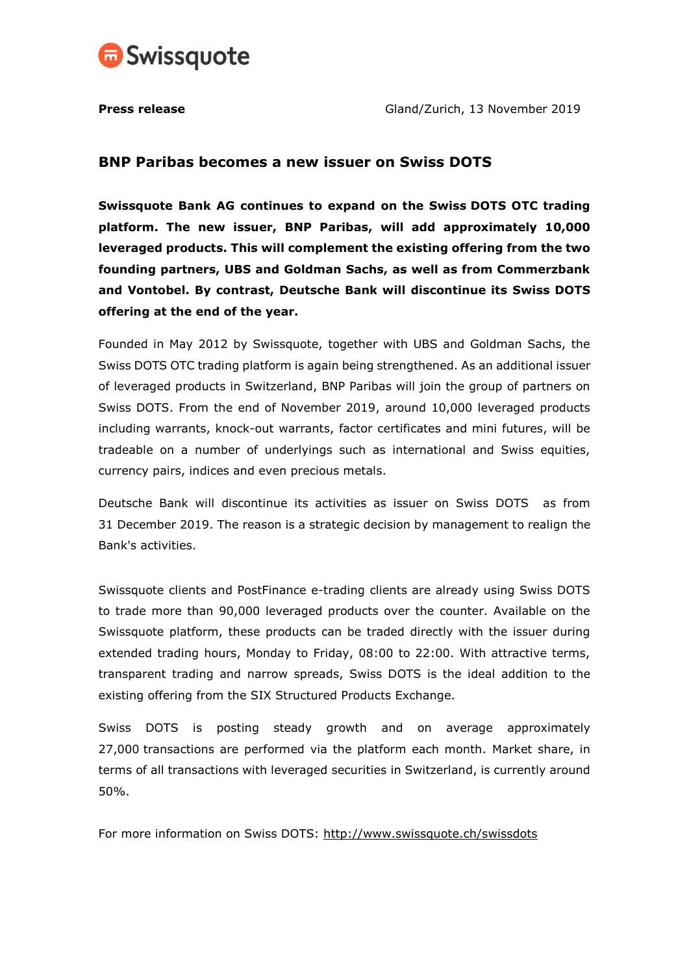

## **BNP Paribas becomes a new issuer on Swiss DOTS**

**Swissquote Bank AG continues to expand on the Swiss DOTS OTC trading platform. The new issuer, BNP Paribas, will add approximately 10,000 leveraged products. This will complement the existing offering from the two founding partners, UBS and Goldman Sachs, as well as from Commerzbank and Vontobel. By contrast, Deutsche Bank will discontinue its Swiss DOTS offering at the end of the year.** 

Founded in May 2012 by Swissquote, together with UBS and Goldman Sachs, the Swiss DOTS OTC trading platform is again being strengthened. As an additional issuer of leveraged products in Switzerland, BNP Paribas will join the group of partners on Swiss DOTS. From the end of November 2019, around 10,000 leveraged products including warrants, knock-out warrants, factor certificates and mini futures, will be tradeable on a number of underlyings such as international and Swiss equities, currency pairs, indices and even precious metals.

Deutsche Bank will discontinue its activities as issuer on Swiss DOTS as from 31 December 2019. The reason is a strategic decision by management to realign the Bank's activities.

Swissquote clients and PostFinance e-trading clients are already using Swiss DOTS to trade more than 90,000 leveraged products over the counter. Available on the Swissquote platform, these products can be traded directly with the issuer during extended trading hours, Monday to Friday, 08:00 to 22:00. With attractive terms, transparent trading and narrow spreads, Swiss DOTS is the ideal addition to the existing offering from the SIX Structured Products Exchange.

Swiss DOTS is posting steady growth and on average approximately 27,000 transactions are performed via the platform each month. Market share, in terms of all transactions with leveraged securities in Switzerland, is currently around 50%.

For more information on Swiss DOTS:<http://www.swissquote.ch/swissdots>